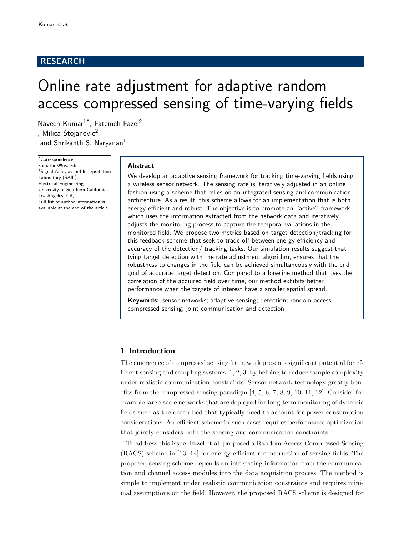# RESEARCH

# Online rate adjustment for adaptive random access compressed sensing of time-varying fields

Naveen Kumar<sup>1\*</sup>, Fatemeh Fazel<sup>2</sup> , Milica Stojanovic<sup>2</sup> and Shrikanth S. Naryanan<sup>1</sup>

\*Correspondence: komathnk@usc.edu <sup>1</sup> Signal Analysis and Interpretation Laboratory (SAIL), Electrical Engineering, University of Southern California, Los Angeles, CA, Full list of author information is available at the end of the article

## Abstract

We develop an adaptive sensing framework for tracking time-varying fields using a wireless sensor network. The sensing rate is iteratively adjusted in an online fashion using a scheme that relies on an integrated sensing and communication architecture. As a result, this scheme allows for an implementation that is both energy-efficient and robust. The objective is to promote an "active" framework which uses the information extracted from the network data and iteratively adjusts the monitoring process to capture the temporal variations in the monitored field. We propose two metrics based on target detection/tracking for this feedback scheme that seek to trade off between energy-efficiency and accuracy of the detection/ tracking tasks. Our simulation results suggest that tying target detection with the rate adjustment algorithm, ensures that the robustness to changes in the field can be achieved simultaneously with the end goal of accurate target detection. Compared to a baseline method that uses the correlation of the acquired field over time, our method exhibits better performance when the targets of interest have a smaller spatial spread.

Keywords: sensor networks; adaptive sensing; detection; random access; compressed sensing; joint communication and detection

# 1 Introduction

The emergence of compressed sensing framework presents significant potential for efficient sensing and sampling systems [1, 2, 3] by helping to reduce sample complexity under realistic communication constraints. Sensor network technology greatly benefits from the compressed sensing paradigm  $[4, 5, 6, 7, 8, 9, 10, 11, 12]$ . Consider for example large-scale networks that are deployed for long-term monitoring of dynamic fields such as the ocean bed that typically need to account for power consumption considerations. An efficient scheme in such cases requires performance optimization that jointly considers both the sensing and communication constraints.

To address this issue, Fazel et al. proposed a Random Access Compressed Sensing (RACS) scheme in [13, 14] for energy-efficient reconstruction of sensing fields. The proposed sensing scheme depends on integrating information from the communication and channel access modules into the data acquisition process. The method is simple to implement under realistic communication constraints and requires minimal assumptions on the field. However, the proposed RACS scheme is designed for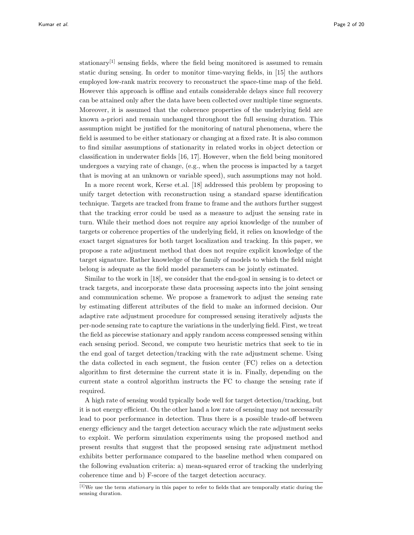stationary<sup>[1]</sup> sensing fields, where the field being monitored is assumed to remain static during sensing. In order to monitor time-varying fields, in [15] the authors employed low-rank matrix recovery to reconstruct the space-time map of the field. However this approach is offline and entails considerable delays since full recovery can be attained only after the data have been collected over multiple time segments. Moreover, it is assumed that the coherence properties of the underlying field are known a-priori and remain unchanged throughout the full sensing duration. This assumption might be justified for the monitoring of natural phenomena, where the field is assumed to be either stationary or changing at a fixed rate. It is also common to find similar assumptions of stationarity in related works in object detection or classification in underwater fields [16, 17]. However, when the field being monitored undergoes a varying rate of change, (e.g., when the process is impacted by a target that is moving at an unknown or variable speed), such assumptions may not hold.

In a more recent work, Kerse et.al. [18] addressed this problem by proposing to unify target detection with reconstruction using a standard sparse identification technique. Targets are tracked from frame to frame and the authors further suggest that the tracking error could be used as a measure to adjust the sensing rate in turn. While their method does not require any aprioi knowledge of the number of targets or coherence properties of the underlying field, it relies on knowledge of the exact target signatures for both target localization and tracking. In this paper, we propose a rate adjustment method that does not require explicit knowledge of the target signature. Rather knowledge of the family of models to which the field might belong is adequate as the field model parameters can be jointly estimated.

Similar to the work in [18], we consider that the end-goal in sensing is to detect or track targets, and incorporate these data processing aspects into the joint sensing and communication scheme. We propose a framework to adjust the sensing rate by estimating different attributes of the field to make an informed decision. Our adaptive rate adjustment procedure for compressed sensing iteratively adjusts the per-node sensing rate to capture the variations in the underlying field. First, we treat the field as piecewise stationary and apply random access compressed sensing within each sensing period. Second, we compute two heuristic metrics that seek to tie in the end goal of target detection/tracking with the rate adjustment scheme. Using the data collected in each segment, the fusion center (FC) relies on a detection algorithm to first determine the current state it is in. Finally, depending on the current state a control algorithm instructs the FC to change the sensing rate if required.

A high rate of sensing would typically bode well for target detection/tracking, but it is not energy efficient. On the other hand a low rate of sensing may not necessarily lead to poor performance in detection. Thus there is a possible trade-off between energy efficiency and the target detection accuracy which the rate adjustment seeks to exploit. We perform simulation experiments using the proposed method and present results that suggest that the proposed sensing rate adjustment method exhibits better performance compared to the baseline method when compared on the following evaluation criteria: a) mean-squared error of tracking the underlying coherence time and b) F-score of the target detection accuracy.

<sup>[1]</sup>We use the term stationary in this paper to refer to fields that are temporally static during the sensing duration.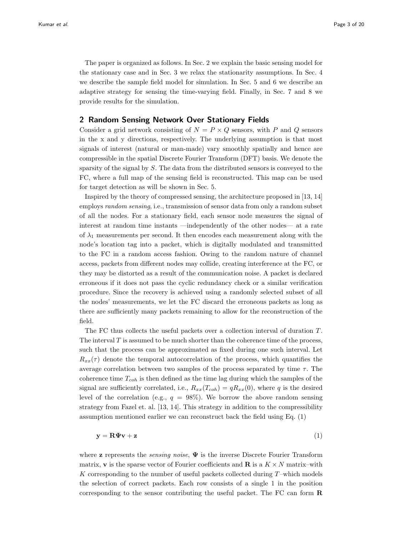The paper is organized as follows. In Sec. 2 we explain the basic sensing model for the stationary case and in Sec. 3 we relax the stationarity assumptions. In Sec. 4 we describe the sample field model for simulation. In Sec. 5 and 6 we describe an adaptive strategy for sensing the time-varying field. Finally, in Sec. 7 and 8 we provide results for the simulation.

## 2 Random Sensing Network Over Stationary Fields

Consider a grid network consisting of  $N = P \times Q$  sensors, with P and Q sensors in the x and y directions, respectively. The underlying assumption is that most signals of interest (natural or man-made) vary smoothly spatially and hence are compressible in the spatial Discrete Fourier Transform (DFT) basis. We denote the sparsity of the signal by S. The data from the distributed sensors is conveyed to the FC, where a full map of the sensing field is reconstructed. This map can be used for target detection as will be shown in Sec. 5.

Inspired by the theory of compressed sensing, the architecture proposed in [13, 14] employs random sensing, i.e., transmission of sensor data from only a random subset of all the nodes. For a stationary field, each sensor node measures the signal of interest at random time instants —independently of the other nodes— at a rate of  $\lambda_1$  measurements per second. It then encodes each measurement along with the node's location tag into a packet, which is digitally modulated and transmitted to the FC in a random access fashion. Owing to the random nature of channel access, packets from different nodes may collide, creating interference at the FC, or they may be distorted as a result of the communication noise. A packet is declared erroneous if it does not pass the cyclic redundancy check or a similar verification procedure. Since the recovery is achieved using a randomly selected subset of all the nodes' measurements, we let the FC discard the erroneous packets as long as there are sufficiently many packets remaining to allow for the reconstruction of the field.

The FC thus collects the useful packets over a collection interval of duration T. The interval  $T$  is assumed to be much shorter than the coherence time of the process, such that the process can be approximated as fixed during one such interval. Let  $R_{xx}(\tau)$  denote the temporal autocorrelation of the process, which quantifies the average correlation between two samples of the process separated by time  $\tau$ . The coherence time  $T_{coh}$  is then defined as the time lag during which the samples of the signal are sufficiently correlated, i.e.,  $R_{xx}(T_{coh}) = qR_{xx}(0)$ , where q is the desired level of the correlation (e.g.,  $q = 98\%$ ). We borrow the above random sensing strategy from Fazel et. al. [13, 14]. This strategy in addition to the compressibility assumption mentioned earlier we can reconstruct back the field using Eq. (1)

$$
y = R\Psi v + z \tag{1}
$$

where z represents the *sensing noise*,  $\Psi$  is the inverse Discrete Fourier Transform matrix, **v** is the sparse vector of Fourier coefficients and **R** is a  $K \times N$  matrix–with K corresponding to the number of useful packets collected during  $T$ -which models the selection of correct packets. Each row consists of a single 1 in the position corresponding to the sensor contributing the useful packet. The FC can form R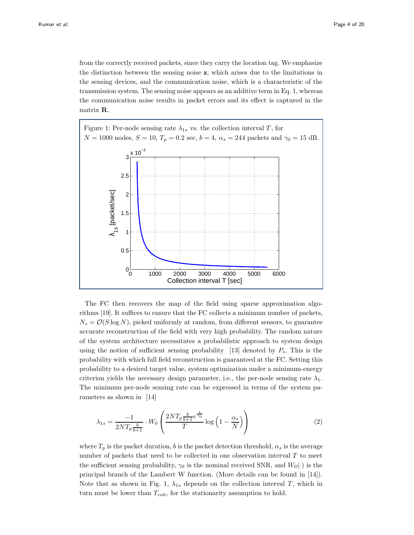from the correctly received packets, since they carry the location tag. We emphasize the distinction between the sensing noise z, which arises due to the limitations in the sensing devices, and the communication noise, which is a characteristic of the transmission system. The sensing noise appears as an additive term in Eq. 1, whereas the communication noise results in packet errors and its effect is captured in the matrix R.



The FC then recovers the map of the field using sparse approximation algorithms [19]. It suffices to ensure that the FC collects a minimum number of packets,  $N_s = \mathcal{O}(S \log N)$ , picked uniformly at random, from different sensors, to guarantee accurate reconstruction of the field with very high probability. The random nature of the system architecture necessitates a probabilistic approach to system design using the notion of sufficient sensing probability [13] denoted by  $P_s$ . This is the probability with which full field reconstruction is guaranteed at the FC. Setting this probability to a desired target value, system optimization under a minimum-energy criterion yields the necessary design parameter, i.e., the per-node sensing rate  $\lambda_1$ . The minimum per-node sensing rate can be expressed in terms of the system parameters as shown in [14]

$$
\lambda_{1s} = \frac{-1}{2NT_p \frac{b}{b+1}} \cdot W_0 \left( \frac{2NT_p \frac{b}{b+1} e^{\frac{b}{\gamma_0}}}{T} \log \left( 1 - \frac{\alpha_s}{N} \right) \right) \tag{2}
$$

where  $T_p$  is the packet duration, b is the packet detection threshold,  $\alpha_s$  is the average number of packets that need to be collected in one observation interval  $T$  to meet the sufficient sensing probability,  $\gamma_0$  is the nominal received SNR, and  $W_0(\cdot)$  is the principal branch of the Lambert W function. (More details can be found in [14]). Note that as shown in Fig. 1,  $\lambda_{1s}$  depends on the collection interval T, which in turn must be lower than  $T_{coh}$ , for the stationarity assumption to hold.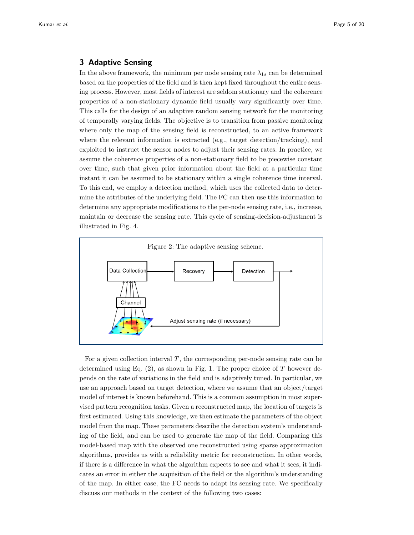# 3 Adaptive Sensing

In the above framework, the minimum per node sensing rate  $\lambda_{1s}$  can be determined based on the properties of the field and is then kept fixed throughout the entire sensing process. However, most fields of interest are seldom stationary and the coherence properties of a non-stationary dynamic field usually vary significantly over time. This calls for the design of an adaptive random sensing network for the monitoring of temporally varying fields. The objective is to transition from passive monitoring where only the map of the sensing field is reconstructed, to an active framework where the relevant information is extracted (e.g., target detection/tracking), and exploited to instruct the sensor nodes to adjust their sensing rates. In practice, we assume the coherence properties of a non-stationary field to be piecewise constant over time, such that given prior information about the field at a particular time instant it can be assumed to be stationary within a single coherence time interval. To this end, we employ a detection method, which uses the collected data to determine the attributes of the underlying field. The FC can then use this information to determine any appropriate modifications to the per-node sensing rate, i.e., increase, maintain or decrease the sensing rate. This cycle of sensing-decision-adjustment is illustrated in Fig. 4.



For a given collection interval  $T$ , the corresponding per-node sensing rate can be determined using Eq.  $(2)$ , as shown in Fig. 1. The proper choice of T however depends on the rate of variations in the field and is adaptively tuned. In particular, we use an approach based on target detection, where we assume that an object/target model of interest is known beforehand. This is a common assumption in most supervised pattern recognition tasks. Given a reconstructed map, the location of targets is first estimated. Using this knowledge, we then estimate the parameters of the object model from the map. These parameters describe the detection system's understanding of the field, and can be used to generate the map of the field. Comparing this model-based map with the observed one reconstructed using sparse approximation algorithms, provides us with a reliability metric for reconstruction. In other words, if there is a difference in what the algorithm expects to see and what it sees, it indicates an error in either the acquisition of the field or the algorithm's understanding of the map. In either case, the FC needs to adapt its sensing rate. We specifically discuss our methods in the context of the following two cases: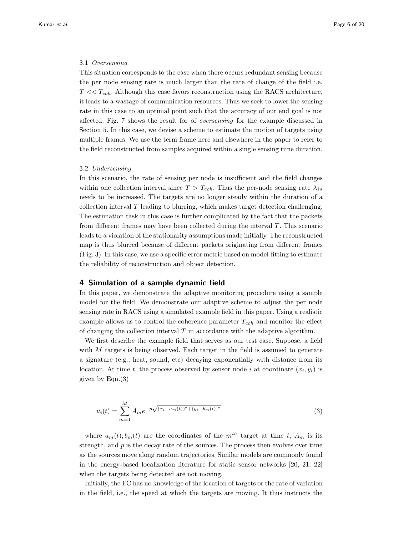#### 3.1 Oversensing

This situation corresponds to the case when there occurs redundant sensing because the per node sensing rate is much larger than the rate of change of the field i.e.  $T \ll T_{coh}$ . Although this case favors reconstruction using the RACS architecture, it leads to a wastage of communication resources. Thus we seek to lower the sensing rate in this case to an optimal point such that the accuracy of our end goal is not affected. Fig. 7 shows the result for of oversensing for the example discussed in Section 5. In this case, we devise a scheme to estimate the motion of targets using multiple frames. We use the term frame here and elsewhere in the paper to refer to the field reconstructed from samples acquired within a single sensing time duration.

#### 3.2 Undersensing

In this scenario, the rate of sensing per node is insufficient and the field changes within one collection interval since  $T > T_{coh}$ . Thus the per-node sensing rate  $\lambda_{1s}$ needs to be increased. The targets are no longer steady within the duration of a collection interval T leading to blurring, which makes target detection challenging. The estimation task in this case is further complicated by the fact that the packets from different frames may have been collected during the interval  $T$ . This scenario leads to a violation of the stationarity assumptions made initially. The reconstructed map is thus blurred because of different packets originating from different frames (Fig. 3). In this case, we use a specific error metric based on model-fitting to estimate the reliability of reconstruction and object detection.

#### 4 Simulation of a sample dynamic field

In this paper, we demonstrate the adaptive monitoring procedure using a sample model for the field. We demonstrate our adaptive scheme to adjust the per node sensing rate in RACS using a simulated example field in this paper. Using a realistic example allows us to control the coherence parameter  $T_{coh}$  and monitor the effect of changing the collection interval  $T$  in accordance with the adaptive algorithm.

We first describe the example field that serves as our test case. Suppose, a field with  $M$  targets is being observed. Each target in the field is assumed to generate a signature (e.g., heat, sound, etc) decaying exponentially with distance from its location. At time t, the process observed by sensor node i at coordinate  $(x_i, y_i)$  is given by Eqn.(3)

$$
u_i(t) = \sum_{m=1}^{M} A_m e^{-p\sqrt{(x_i - a_m(t))^2 + (y_i - b_m(t))^2}}
$$
\n(3)

where  $a_m(t)$ ,  $b_m(t)$  are the coordinates of the  $m<sup>th</sup>$  target at time t,  $A_m$  is its strength, and  $p$  is the decay rate of the sources. The process then evolves over time as the sources move along random trajectories. Similar models are commonly found in the energy-based localization literature for static sensor networks [20, 21, 22] when the targets being detected are not moving.

Initially, the FC has no knowledge of the location of targets or the rate of variation in the field, i.e., the speed at which the targets are moving. It thus instructs the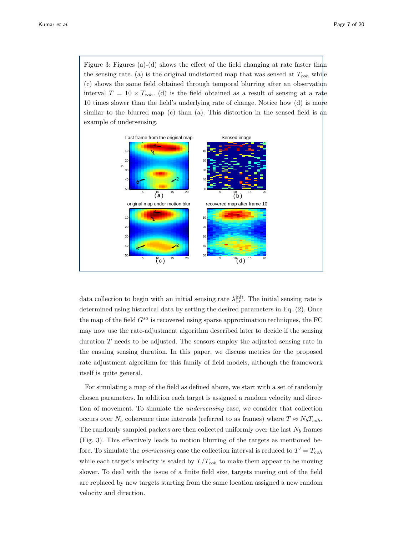Figure 3: Figures (a)-(d) shows the effect of the field changing at rate faster than the sensing rate. (a) is the original undistorted map that was sensed at  $T_{coh}$  while (c) shows the same field obtained through temporal blurring after an observation interval  $T = 10 \times T_{coh}$ . (d) is the field obtained as a result of sensing at a rate 10 times slower than the field's underlying rate of change. Notice how (d) is more similar to the blurred map  $(c)$  than  $(a)$ . This distortion in the sensed field is an example of undersensing.



data collection to begin with an initial sensing rate  $\lambda_{1s}^{\text{init}}$ . The initial sensing rate is determined using historical data by setting the desired parameters in Eq. (2). Once the map of the field  $G^{sa}$  is recovered using sparse approximation techniques, the FC may now use the rate-adjustment algorithm described later to decide if the sensing duration T needs to be adjusted. The sensors employ the adjusted sensing rate in the ensuing sensing duration. In this paper, we discuss metrics for the proposed rate adjustment algorithm for this family of field models, although the framework itself is quite general.

For simulating a map of the field as defined above, we start with a set of randomly chosen parameters. In addition each target is assigned a random velocity and direction of movement. To simulate the undersensing case, we consider that collection occurs over  $N_b$  coherence time intervals (referred to as frames) where  $T \approx N_bT_{coh}$ . The randomly sampled packets are then collected uniformly over the last  $N_b$  frames (Fig. 3). This effectively leads to motion blurring of the targets as mentioned before. To simulate the *oversensing* case the collection interval is reduced to  $T' = T_{coh}$ while each target's velocity is scaled by  $T/T_{coh}$  to make them appear to be moving slower. To deal with the issue of a finite field size, targets moving out of the field are replaced by new targets starting from the same location assigned a new random velocity and direction.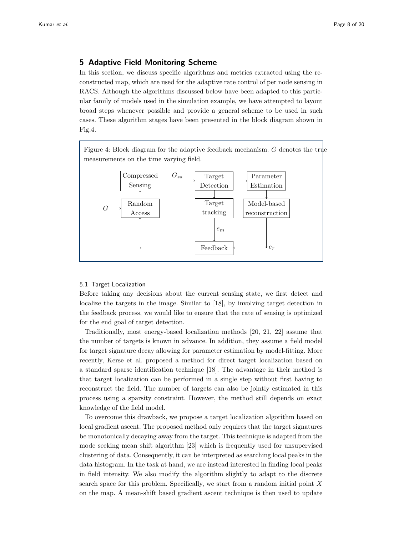# 5 Adaptive Field Monitoring Scheme

In this section, we discuss specific algorithms and metrics extracted using the reconstructed map, which are used for the adaptive rate control of per node sensing in RACS. Although the algorithms discussed below have been adapted to this particular family of models used in the simulation example, we have attempted to layout broad steps whenever possible and provide a general scheme to be used in such cases. These algorithm stages have been presented in the block diagram shown in Fig.4.



#### 5.1 Target Localization

Before taking any decisions about the current sensing state, we first detect and localize the targets in the image. Similar to [18], by involving target detection in the feedback process, we would like to ensure that the rate of sensing is optimized for the end goal of target detection.

Traditionally, most energy-based localization methods [20, 21, 22] assume that the number of targets is known in advance. In addition, they assume a field model for target signature decay allowing for parameter estimation by model-fitting. More recently, Kerse et al. proposed a method for direct target localization based on a standard sparse identification technique [18]. The advantage in their method is that target localization can be performed in a single step without first having to reconstruct the field. The number of targets can also be jointly estimated in this process using a sparsity constraint. However, the method still depends on exact knowledge of the field model.

To overcome this drawback, we propose a target localization algorithm based on local gradient ascent. The proposed method only requires that the target signatures be monotonically decaying away from the target. This technique is adapted from the mode seeking mean shift algorithm [23] which is frequently used for unsupervised clustering of data. Consequently, it can be interpreted as searching local peaks in the data histogram. In the task at hand, we are instead interested in finding local peaks in field intensity. We also modify the algorithm slightly to adapt to the discrete search space for this problem. Specifically, we start from a random initial point X on the map. A mean-shift based gradient ascent technique is then used to update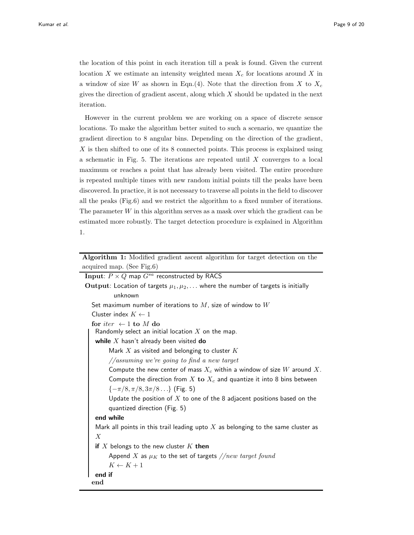the location of this point in each iteration till a peak is found. Given the current location  $X$  we estimate an intensity weighted mean  $X_c$  for locations around  $X$  in a window of size W as shown in Eqn.(4). Note that the direction from X to  $X_c$ gives the direction of gradient ascent, along which  $X$  should be updated in the next iteration.

However in the current problem we are working on a space of discrete sensor locations. To make the algorithm better suited to such a scenario, we quantize the gradient direction to 8 angular bins. Depending on the direction of the gradient, X is then shifted to one of its 8 connected points. This process is explained using a schematic in Fig. 5. The iterations are repeated until  $X$  converges to a local maximum or reaches a point that has already been visited. The entire procedure is repeated multiple times with new random initial points till the peaks have been discovered. In practice, it is not necessary to traverse all points in the field to discover all the peaks (Fig.6) and we restrict the algorithm to a fixed number of iterations. The parameter  $W$  in this algorithm serves as a mask over which the gradient can be estimated more robustly. The target detection procedure is explained in Algorithm 1.

| <b>Algorithm 1:</b> Modified gradient ascent algorithm for target detection on the          |
|---------------------------------------------------------------------------------------------|
| acquired map. (See Fig.6)                                                                   |
| Input: $P \times Q$ map $G^{sa}$ reconstructed by RACS                                      |
| Output: Location of targets $\mu_1, \mu_2, \ldots$ where the number of targets is initially |
| unknown                                                                                     |
| Set maximum number of iterations to $M$ , size of window to $W$                             |
| Cluster index $K \leftarrow 1$                                                              |
| for <i>iter</i> $\leftarrow$ 1 to <i>M</i> do                                               |
| Randomly select an initial location $X$ on the map.                                         |
| while $X$ hasn't already been visited do                                                    |
| Mark $X$ as visited and belonging to cluster $K$                                            |
| $\frac{1}{2}$ //assuming we're going to find a new target                                   |
| Compute the new center of mass $X_c$ within a window of size $W$ around $X$ .               |
| Compute the direction from $X$ to $X_c$ and quantize it into 8 bins between                 |
| $\{-\pi/8, \pi/8, 3\pi/8 \ldots\}$ (Fig. 5)                                                 |
| Update the position of $X$ to one of the 8 adjacent positions based on the                  |
| quantized direction (Fig. 5)                                                                |
| end while                                                                                   |
| Mark all points in this trail leading upto $X$ as belonging to the same cluster as          |
| $\boldsymbol{X}$                                                                            |
| if X belongs to the new cluster K then                                                      |
| Append X as $\mu_K$ to the set of targets //new target found                                |
| $K \leftarrow K + 1$                                                                        |
| end if                                                                                      |
| end                                                                                         |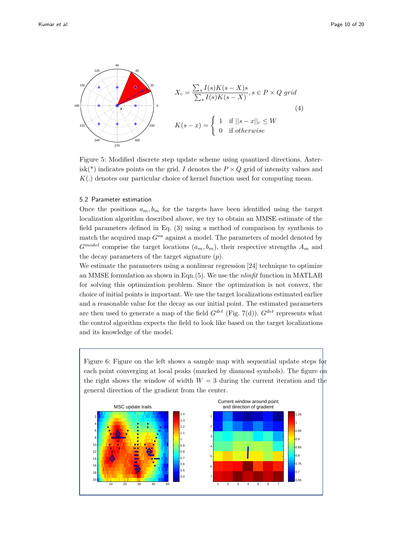

Figure 5: Modified discrete step update scheme using quantized directions. Asterisk(\*) indicates points on the grid. I denotes the  $P \times Q$  grid of intensity values and  $K(.)$  denotes our particular choice of kernel function used for computing mean.

#### 5.2 Parameter estimation

Once the positions  $a_m, b_m$  for the targets have been identified using the target localization algorithm described above, we try to obtain an MMSE estimate of the field parameters defined in Eq. (3) using a method of comparison by synthesis to match the acquired map  $G^{sa}$  against a model. The parameters of model denoted by  $G^{model}$  comprise the target locations  $(a_m, b_m)$ , their respective strengths  $A_m$  and the decay parameters of the target signature  $(p)$ .

We estimate the parameters using a nonlinear regression [24] technique to optimize an MMSE formulation as shown in Eqn. $(5)$ . We use the *nlinfit* function in MATLAB for solving this optimization problem. Since the optimization is not convex, the choice of initial points is important. We use the target localizations estimated earlier and a reasonable value for the decay as our initial point. The estimated parameters are then used to generate a map of the field  $G^{det}$  (Fig. 7(d)).  $G^{det}$  represents what the control algorithm expects the field to look like based on the target localizations and its knowledge of the model.



Figure 6: Figure on the left shows a sample map with sequential update steps for each point converging at local peaks (marked by diamond symbols). The figure on the right shows the window of width  $W = 3$  during the current iteration and the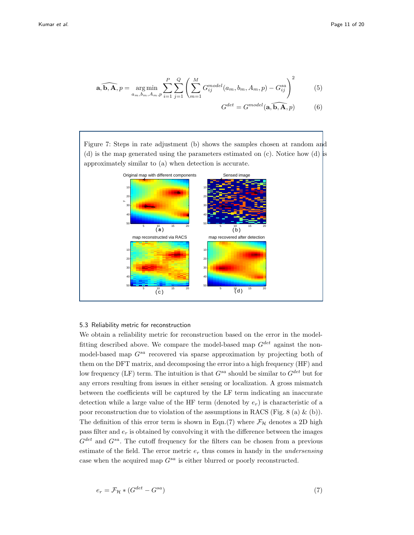$$
\widehat{\mathbf{a}, \mathbf{b}, \mathbf{A}}, p = \underset{a_m, b_m, A_m, p}{\arg \min} \sum_{i=1}^{P} \sum_{j=1}^{Q} \left( \sum_{m=1}^{M} G_{ij}^{model}(a_m, b_m, A_m, p) - G_{ij}^{sa} \right)^2 \tag{5}
$$

$$
G^{det} = G^{model}(\widehat{\mathbf{a}, \mathbf{b}, \mathbf{A}}, p) \tag{6}
$$

Figure 7: Steps in rate adjustment (b) shows the samples chosen at random and (d) is the map generated using the parameters estimated on (c). Notice how (d) is approximately similar to (a) when detection is accurate.



#### 5.3 Reliability metric for reconstruction

We obtain a reliability metric for reconstruction based on the error in the modelfitting described above. We compare the model-based map  $G^{det}$  against the nonmodel-based map  $G^{sa}$  recovered via sparse approximation by projecting both of them on the DFT matrix, and decomposing the error into a high frequency (HF) and low frequency (LF) term. The intuition is that  $G^{sa}$  should be similar to  $G^{det}$  but for any errors resulting from issues in either sensing or localization. A gross mismatch between the coefficients will be captured by the LF term indicating an inaccurate detection while a large value of the HF term (denoted by  $e_r$ ) is characteristic of a poor reconstruction due to violation of the assumptions in RACS (Fig. 8 (a) & (b)). The definition of this error term is shown in Eqn.(7) where  $\mathcal{F}_{\mathcal{H}}$  denotes a 2D high pass filter and  $e_r$  is obtained by convolving it with the difference between the images  $G^{det}$  and  $G^{sa}$ . The cutoff frequency for the filters can be chosen from a previous estimate of the field. The error metric  $e_r$  thus comes in handy in the *undersensing* case when the acquired map  $G^{sa}$  is either blurred or poorly reconstructed.

$$
e_r = \mathcal{F}_{\mathcal{H}} * (G^{det} - G^{sa})
$$
\n<sup>(7)</sup>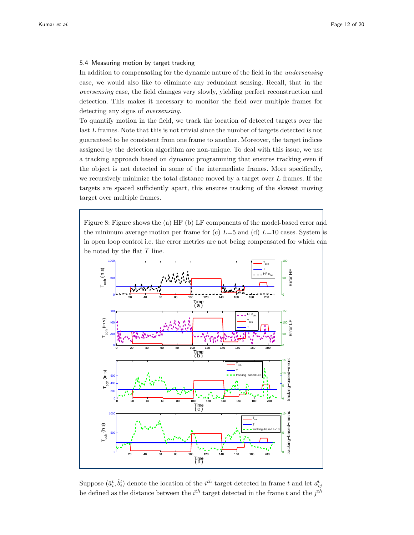#### 5.4 Measuring motion by target tracking

In addition to compensating for the dynamic nature of the field in the undersensing case, we would also like to eliminate any redundant sensing. Recall, that in the oversensing case, the field changes very slowly, yielding perfect reconstruction and detection. This makes it necessary to monitor the field over multiple frames for detecting any signs of oversensing.

To quantify motion in the field, we track the location of detected targets over the last L frames. Note that this is not trivial since the number of targets detected is not guaranteed to be consistent from one frame to another. Moreover, the target indices assigned by the detection algorithm are non-unique. To deal with this issue, we use a tracking approach based on dynamic programming that ensures tracking even if the object is not detected in some of the intermediate frames. More specifically, we recursively minimize the total distance moved by a target over  $L$  frames. If the targets are spaced sufficiently apart, this ensures tracking of the slowest moving target over multiple frames.

Figure 8: Figure shows the (a) HF (b) LF components of the model-based error and the minimum average motion per frame for (c)  $L=5$  and (d)  $L=10$  cases. System is in open loop control i.e. the error metrics are not being compensated for which can be noted by the flat T line.



Suppose  $(\hat{a}_i^t, \hat{b}_i^t)$  denote the location of the  $i^{th}$  target detected in frame t and let  $d_{ij}^t$ be defined as the distance between the  $i^{th}$  target detected in the frame t and the  $j^{th}$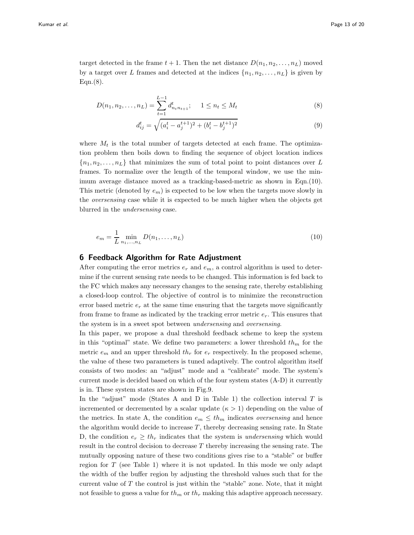target detected in the frame  $t + 1$ . Then the net distance  $D(n_1, n_2, \ldots, n_L)$  moved by a target over L frames and detected at the indices  $\{n_1, n_2, \ldots, n_k\}$  is given by  $\text{Eqn.}(8)$ .

$$
D(n_1, n_2, \dots, n_L) = \sum_{t=1}^{L-1} d_{n_t n_{t+1}}^t; \quad 1 \le n_t \le M_t
$$
\n(8)

$$
d_{ij}^t = \sqrt{(a_i^t - a_j^{t+1})^2 + (b_i^t - b_j^{t+1})^2}
$$
\n(9)

where  $M_t$  is the total number of targets detected at each frame. The optimization problem then boils down to finding the sequence of object location indices  ${n_1, n_2, \ldots, n_l}$  that minimizes the sum of total point to point distances over L frames. To normalize over the length of the temporal window, we use the minimum average distance moved as a tracking-based-metric as shown in Eqn.(10). This metric (denoted by  $e_m$ ) is expected to be low when the targets move slowly in the oversensing case while it is expected to be much higher when the objects get blurred in the undersensing case.

$$
e_m = \frac{1}{L} \min_{n_1, ..., n_L} D(n_1, ..., n_L)
$$
\n(10)

## 6 Feedback Algorithm for Rate Adjustment

After computing the error metrics  $e_r$  and  $e_m$ , a control algorithm is used to determine if the current sensing rate needs to be changed. This information is fed back to the FC which makes any necessary changes to the sensing rate, thereby establishing a closed-loop control. The objective of control is to minimize the reconstruction error based metric  $e_r$  at the same time ensuring that the targets move significantly from frame to frame as indicated by the tracking error metric  $e_r$ . This ensures that the system is in a sweet spot between *undersensing* and *oversensing*.

In this paper, we propose a dual threshold feedback scheme to keep the system in this "optimal" state. We define two parameters: a lower threshold  $th_m$  for the metric  $e_m$  and an upper threshold  $th_r$  for  $e_r$  respectively. In the proposed scheme, the value of these two parameters is tuned adaptively. The control algorithm itself consists of two modes: an "adjust" mode and a "calibrate" mode. The system's current mode is decided based on which of the four system states (A-D) it currently is in. These system states are shown in Fig.9.

In the "adjust" mode (States A and D in Table 1) the collection interval  $T$  is incremented or decremented by a scalar update  $(\kappa > 1)$  depending on the value of the metrics. In state A, the condition  $e_m \leq th_m$  indicates oversensing and hence the algorithm would decide to increase  $T$ , thereby decreasing sensing rate. In State D, the condition  $e_r \geq th_r$  indicates that the system is *undersensing* which would result in the control decision to decrease  $T$  thereby increasing the sensing rate. The mutually opposing nature of these two conditions gives rise to a "stable" or buffer region for T (see Table 1) where it is not updated. In this mode we only adapt the width of the buffer region by adjusting the threshold values such that for the current value of  $T$  the control is just within the "stable" zone. Note, that it might not feasible to guess a value for  $th_m$  or  $th_r$  making this adaptive approach necessary.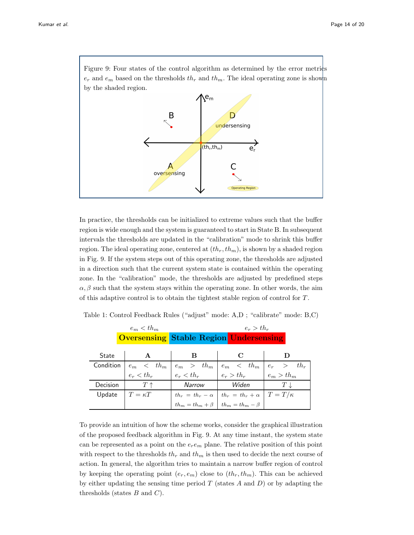

Figure 9: Four states of the control algorithm as determined by the error metrics

In practice, the thresholds can be initialized to extreme values such that the buffer region is wide enough and the system is guaranteed to start in State B. In subsequent intervals the thresholds are updated in the "calibration" mode to shrink this buffer region. The ideal operating zone, centered at  $(th_r, th_m)$ , is shown by a shaded region in Fig. 9. If the system steps out of this operating zone, the thresholds are adjusted in a direction such that the current system state is contained within the operating zone. In the "calibration" mode, the thresholds are adjusted by predefined steps  $\alpha$ ,  $\beta$  such that the system stays within the operating zone. In other words, the aim of this adaptive control is to obtain the tightest stable region of control for T .

| $e_m < th_m$                                  |                                                                     | $e_r > th_r$                                                         |                                                                                                                                |  |
|-----------------------------------------------|---------------------------------------------------------------------|----------------------------------------------------------------------|--------------------------------------------------------------------------------------------------------------------------------|--|
| <b>Oversensing Stable Region Undersensing</b> |                                                                     |                                                                      |                                                                                                                                |  |
| State                                         |                                                                     | B                                                                    |                                                                                                                                |  |
|                                               |                                                                     |                                                                      |                                                                                                                                |  |
|                                               | Condition $\begin{vmatrix} e_m < &th_m \\ e_r < th_r \end{vmatrix}$ | $\begin{array}{c c c} n & e_m & > & th_m \ e_r & < th_r \end{array}$ | $\begin{array}{c c c c} \hline \epsilon & e_m < &th_m & e_r > &th_r \ \hline \epsilon & & & & e_m > th_m \ \hline \end{array}$ |  |
| Decision                                      |                                                                     | Narrow                                                               | Widen                                                                                                                          |  |
| Update $T = \kappa T$                         |                                                                     |                                                                      | $th_r = th_r - \alpha$ $th_r = th_r + \alpha$ $T = T/\kappa$                                                                   |  |
|                                               |                                                                     |                                                                      | $th_m = th_m + \beta$ $th_m = th_m - \beta$                                                                                    |  |

Table 1: Control Feedback Rules ("adjust" mode: A,D ; "calibrate" mode: B,C)

To provide an intuition of how the scheme works, consider the graphical illustration of the proposed feedback algorithm in Fig. 9. At any time instant, the system state can be represented as a point on the  $e_r e_m$  plane. The relative position of this point with respect to the thresholds  $th_r$  and  $th_m$  is then used to decide the next course of action. In general, the algorithm tries to maintain a narrow buffer region of control by keeping the operating point  $(e_r, e_m)$  close to  $(th_r, th_m)$ . This can be achieved by either updating the sensing time period  $T$  (states  $A$  and  $D$ ) or by adapting the thresholds (states  $B$  and  $C$ ).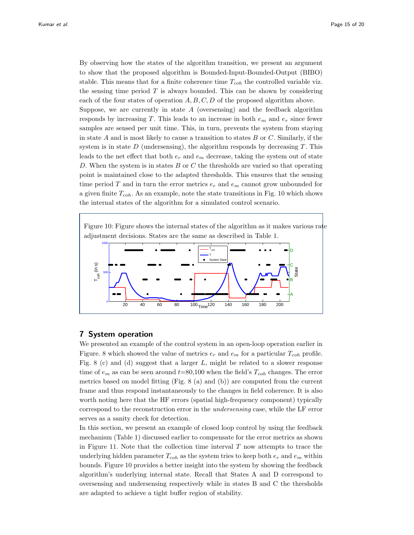By observing how the states of the algorithm transition, we present an argument to show that the proposed algorithm is Bounded-Input-Bounded-Output (BIBO) stable. This means that for a finite coherence time  $T_{coh}$  the controlled variable viz. the sensing time period  $T$  is always bounded. This can be shown by considering each of the four states of operation  $A, B, C, D$  of the proposed algorithm above. Suppose, we are currently in state  $A$  (oversensing) and the feedback algorithm responds by increasing T. This leads to an increase in both  $e_m$  and  $e_r$  since fewer samples are sensed per unit time. This, in turn, prevents the system from staying

in state  $A$  and is most likely to cause a transition to states  $B$  or  $C$ . Similarly, if the system is in state  $D$  (undersensing), the algorithm responds by decreasing  $T$ . This leads to the net effect that both  $e_r$  and  $e_m$  decrease, taking the system out of state D. When the system is in states  $B$  or  $C$  the thresholds are varied so that operating point is maintained close to the adapted thresholds. This ensures that the sensing time period T and in turn the error metrics  $e_r$  and  $e_m$  cannot grow unbounded for a given finite  $T_{coh}$ . As an example, note the state transitions in Fig. 10 which shows the internal states of the algorithm for a simulated control scenario.



# 7 System operation

We presented an example of the control system in an open-loop operation earlier in Figure. 8 which showed the value of metrics  $e_r$  and  $e_m$  for a particular  $T_{coh}$  profile. Fig. 8 (c) and (d) suggest that a larger  $L$ , might be related to a slower response time of  $e_m$  as can be seen around  $t=80,100$  when the field's  $T_{coh}$  changes. The error metrics based on model fitting (Fig. 8 (a) and (b)) are computed from the current frame and thus respond instantaneously to the changes in field coherence. It is also worth noting here that the HF errors (spatial high-frequency component) typically correspond to the reconstruction error in the undersensing case, while the LF error serves as a sanity check for detection.

In this section, we present an example of closed loop control by using the feedback mechanism (Table 1) discussed earlier to compensate for the error metrics as shown in Figure 11. Note that the collection time interval  $T$  now attempts to trace the underlying hidden parameter  $T_{coh}$  as the system tries to keep both  $e_r$  and  $e_m$  within bounds. Figure 10 provides a better insight into the system by showing the feedback algorithm's underlying internal state. Recall that States A and D correspond to oversensing and undersensing respectively while in states B and C the thresholds are adapted to achieve a tight buffer region of stability.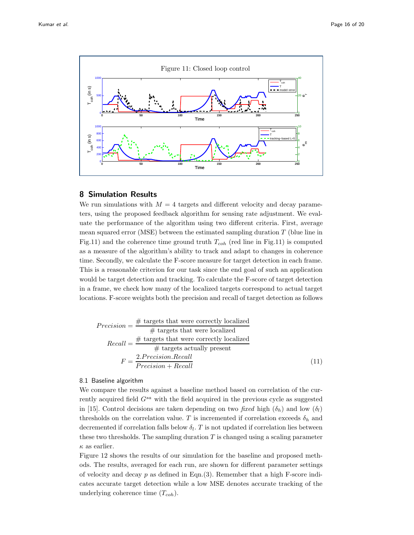

# 8 Simulation Results

We run simulations with  $M = 4$  targets and different velocity and decay parameters, using the proposed feedback algorithm for sensing rate adjustment. We evaluate the performance of the algorithm using two different criteria. First, average mean squared error (MSE) between the estimated sampling duration  $T$  (blue line in Fig.11) and the coherence time ground truth  $T_{coh}$  (red line in Fig.11) is computed as a measure of the algorithm's ability to track and adapt to changes in coherence time. Secondly, we calculate the F-score measure for target detection in each frame. This is a reasonable criterion for our task since the end goal of such an application would be target detection and tracking. To calculate the F-score of target detection in a frame, we check how many of the localized targets correspond to actual target locations. F-score weights both the precision and recall of target detection as follows

$$
Precision = \frac{\# \text{ targets that were correctly localized}}{\# \text{ targets that were localized}}
$$
\n
$$
Recall = \frac{\# \text{ targets that were correctly localized}}{\# \text{ targets actually present}}
$$
\n
$$
F = \frac{2.Precision.F. Recall}{Precision + Recall}
$$
\n(11)

#### 8.1 Baseline algorithm

We compare the results against a baseline method based on correlation of the currently acquired field  $G^{sa}$  with the field acquired in the previous cycle as suggested in [15]. Control decisions are taken depending on two fixed high  $(\delta_h)$  and low  $(\delta_l)$ thresholds on the correlation value. T is incremented if correlation exceeds  $\delta_h$  and decremented if correlation falls below  $\delta_l$ . T is not updated if correlation lies between these two thresholds. The sampling duration  $T$  is changed using a scaling parameter  $\kappa$  as earlier.

Figure 12 shows the results of our simulation for the baseline and proposed methods. The results, averaged for each run, are shown for different parameter settings of velocity and decay  $p$  as defined in Eqn.(3). Remember that a high F-score indicates accurate target detection while a low MSE denotes accurate tracking of the underlying coherence time  $(T_{coh})$ .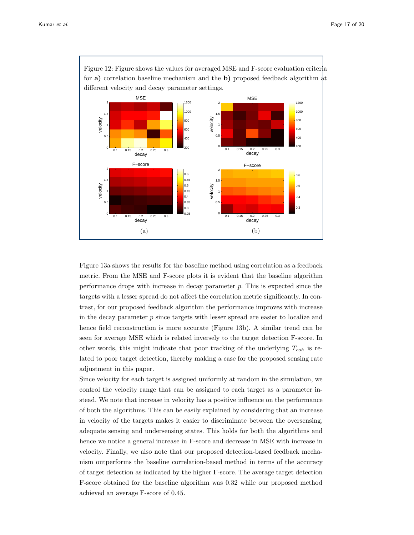

Figure 13a shows the results for the baseline method using correlation as a feedback metric. From the MSE and F-score plots it is evident that the baseline algorithm performance drops with increase in decay parameter  $p$ . This is expected since the targets with a lesser spread do not affect the correlation metric significantly. In contrast, for our proposed feedback algorithm the performance improves with increase in the decay parameter p since targets with lesser spread are easier to localize and hence field reconstruction is more accurate (Figure 13b). A similar trend can be seen for average MSE which is related inversely to the target detection F-score. In other words, this might indicate that poor tracking of the underlying  $T_{coh}$  is related to poor target detection, thereby making a case for the proposed sensing rate adjustment in this paper.

Since velocity for each target is assigned uniformly at random in the simulation, we control the velocity range that can be assigned to each target as a parameter instead. We note that increase in velocity has a positive influence on the performance of both the algorithms. This can be easily explained by considering that an increase in velocity of the targets makes it easier to discriminate between the oversensing, adequate sensing and undersensing states. This holds for both the algorithms and hence we notice a general increase in F-score and decrease in MSE with increase in velocity. Finally, we also note that our proposed detection-based feedback mechanism outperforms the baseline correlation-based method in terms of the accuracy of target detection as indicated by the higher F-score. The average target detection F-score obtained for the baseline algorithm was 0.32 while our proposed method achieved an average F-score of 0.45.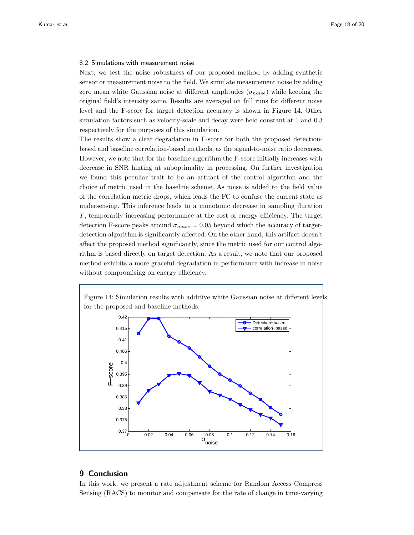#### 8.2 Simulations with measurement noise

Next, we test the noise robustness of our proposed method by adding synthetic sensor or measurement noise to the field. We simulate measurement noise by adding zero mean white Gaussian noise at different amplitudes  $(\sigma_{noise})$  while keeping the original field's intensity same. Results are averaged on full runs for different noise level and the F-score for target detection accuracy is shown in Figure 14. Other simulation factors such as velocity-scale and decay were held constant at 1 and 0.3 respectively for the purposes of this simulation.

The results show a clear degradation in F-score for both the proposed detectionbased and baseline correlation-based methods, as the signal-to-noise ratio decreases. However, we note that for the baseline algorithm the F-score initially increases with decrease in SNR hinting at suboptimality in processing. On further investigation we found this peculiar trait to be an artifact of the control algorithm and the choice of metric used in the baseline scheme. As noise is added to the field value of the correlation metric drops, which leads the FC to confuse the current state as undersensing. This inference leads to a monotonic decrease in sampling duration T , temporarily increasing performance at the cost of energy efficiency. The target detection F-score peaks around  $\sigma_{noise} = 0.05$  beyond which the accuracy of targetdetection algorithm is significantly affected. On the other hand, this artifact doesn't affect the proposed method significantly, since the metric used for our control algorithm is based directly on target detection. As a result, we note that our proposed method exhibits a more graceful degradation in performance with increase in noise without compromising on energy efficiency.

Figure 14: Simulation results with additive white Gaussian noise at different levels for the proposed and baseline methods.



# 9 Conclusion

In this work, we present a rate adjustment scheme for Random Access Compress Sensing (RACS) to monitor and compensate for the rate of change in time-varying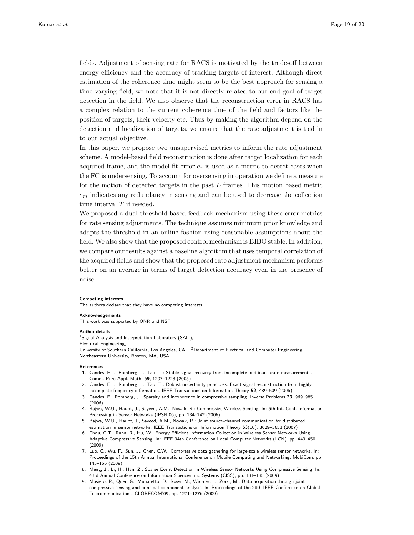fields. Adjustment of sensing rate for RACS is motivated by the trade-off between energy efficiency and the accuracy of tracking targets of interest. Although direct estimation of the coherence time might seem to be the best approach for sensing a time varying field, we note that it is not directly related to our end goal of target detection in the field. We also observe that the reconstruction error in RACS has a complex relation to the current coherence time of the field and factors like the position of targets, their velocity etc. Thus by making the algorithm depend on the detection and localization of targets, we ensure that the rate adjustment is tied in to our actual objective.

In this paper, we propose two unsupervised metrics to inform the rate adjustment scheme. A model-based field reconstruction is done after target localization for each acquired frame, and the model fit error  $e_r$  is used as a metric to detect cases when the FC is undersensing. To account for oversensing in operation we define a measure for the motion of detected targets in the past L frames. This motion based metric  $e<sub>m</sub>$  indicates any redundancy in sensing and can be used to decrease the collection time interval  $T$  if needed.

We proposed a dual threshold based feedback mechanism using these error metrics for rate sensing adjustments. The technique assumes minimum prior knowledge and adapts the threshold in an online fashion using reasonable assumptions about the field. We also show that the proposed control mechanism is BIBO stable. In addition, we compare our results against a baseline algorithm that uses temporal correlation of the acquired fields and show that the proposed rate adjustment mechanism performs better on an average in terms of target detection accuracy even in the presence of noise.

#### Competing interests

The authors declare that they have no competing interests.

#### Acknowledgements

This work was supported by ONR and NSF.

#### Author details

<sup>1</sup>Signal Analysis and Interpretation Laboratory (SAIL), Electrical Engineering,

University of Southern California, Los Angeles, CA,. <sup>2</sup>Department of Electrical and Computer Engineering, Northeastern University, Boston, MA, USA.

#### References

- 1. Candes, E.J., Romberg, J., Tao, T.: Stable signal recovery from incomplete and inaccurate measurements. Comm. Pure Appl. Math. 59, 1207–1223 (2005)
- 2. Candes, E.J., Romberg, J., Tao, T.: Robust uncertainty principles: Exact signal reconstruction from highly incomplete frequency information. IEEE Transactions on Information Theory 52, 489–509 (2006)
- 3. Candes, E., Romberg, J.: Sparsity and incoherence in compressive sampling. Inverse Problems 23, 969–985 (2006)
- 4. Bajwa, W.U., Haupt, J., Sayeed, A.M., Nowak, R.: Compressive Wireless Sensing. In: 5th Int. Conf. Information Processing in Sensor Networks (IPSN'06), pp. 134–142 (2006)
- 5. Bajwa, W.U., Haupt, J., Sayeed, A.M., Nowak, R.: Joint source-channel communication for distributed estimation in sensor networks. IEEE Transactions on Information Theory 53(10), 3629–3653 (2007)
- 6. Chou, C.T., Rana, R., Hu, W.: Energy Efficient Information Collection in Wireless Sensor Networks Using Adaptive Compressive Sensing. In: IEEE 34th Conference on Local Computer Networks (LCN), pp. 443–450 (2009)
- 7. Luo, C., Wu, F., Sun, J., Chen, C.W.: Compressive data gathering for large-scale wireless sensor networks. In: Proceedings of the 15th Annual International Conference on Mobile Computing and Networking. MobiCom, pp. 145–156 (2009)
- 8. Meng, J., Li, H., Han, Z.: Sparse Event Detection in Wireless Sensor Networks Using Compressive Sensing. In: 43rd Annual Conference on Information Sciences and Systems (CISS), pp. 181–185 (2009)
- 9. Masiero, R., Quer, G., Munaretto, D., Rossi, M., Widmer, J., Zorzi, M.: Data acquisition through joint compressive sensing and principal component analysis. In: Proceedings of the 28th IEEE Conference on Global Telecommunications. GLOBECOM'09, pp. 1271–1276 (2009)